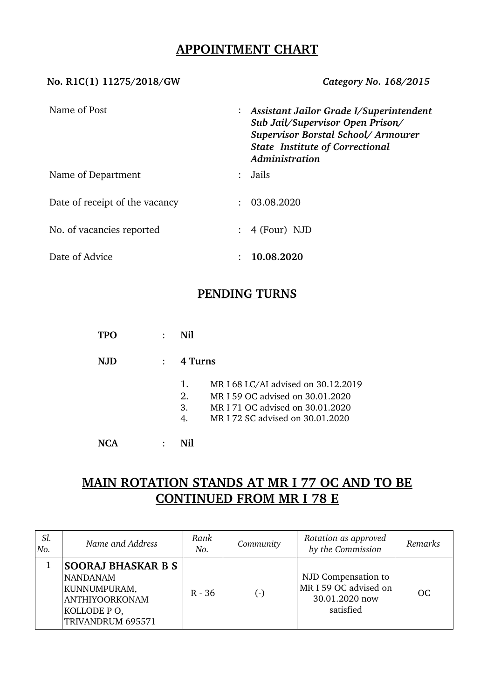## **APPOINTMENT CHART**

#### **No. R1C(1) 11275/2018/GW** *Category No. 168/2015*

| Name of Post                   | $:$ Assistant Jailor Grade I/Superintendent<br>Sub Jail/Supervisor Open Prison/<br>Supervisor Borstal School/Armourer<br><b>State Institute of Correctional</b><br>Administration |  |
|--------------------------------|-----------------------------------------------------------------------------------------------------------------------------------------------------------------------------------|--|
| Name of Department             | Jails                                                                                                                                                                             |  |
| Date of receipt of the vacancy | 03.08.2020                                                                                                                                                                        |  |
| No. of vacancies reported      | $: 4$ (Four) NJD                                                                                                                                                                  |  |
| Date of Advice                 | 10.08.2020                                                                                                                                                                        |  |

## **PENDING TURNS**

**TPO** : **Nil**

**NJD** : **4 Turns**

- 1. MR I 68 LC/AI advised on 30.12.2019
- 2. MR I 59 OC advised on 30.01.2020
- 3. MR I 71 OC advised on 30.01.2020
- 4. MR I 72 SC advised on 30.01.2020

**NCA** : **Nil**

# **MAIN ROTATION STANDS AT MR I 77 OC AND TO BE CONTINUED FROM MR I 78 E**

| Sl.<br>No. | Name and Address                                                                                                          | Rank<br>No. | Community | Rotation as approved<br>by the Commission                                   | Remarks   |
|------------|---------------------------------------------------------------------------------------------------------------------------|-------------|-----------|-----------------------------------------------------------------------------|-----------|
|            | <b>SOORAJ BHASKAR B S</b><br><b>NANDANAM</b><br>KUNNUMPURAM,<br><b>ANTHIYOORKONAM</b><br>KOLLODE PO,<br>TRIVANDRUM 695571 | $R - 36$    | $(\cdot)$ | NJD Compensation to<br>MR I 59 OC advised on<br>30.01.2020 now<br>satisfied | <b>OC</b> |